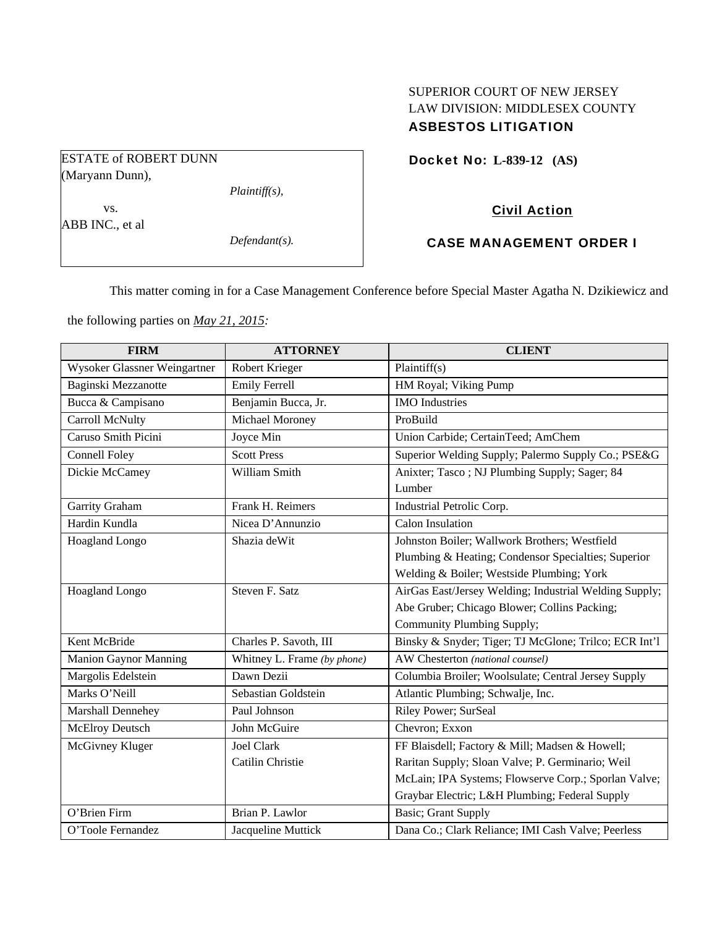# SUPERIOR COURT OF NEW JERSEY LAW DIVISION: MIDDLESEX COUNTY ASBESTOS LITIGATION

Docket No: **L-839-12 (AS)** 

Civil Action

CASE MANAGEMENT ORDER I

This matter coming in for a Case Management Conference before Special Master Agatha N. Dzikiewicz and

the following parties on *May 21, 2015:* 

| <b>FIRM</b>                  | <b>ATTORNEY</b>             | <b>CLIENT</b>                                          |
|------------------------------|-----------------------------|--------------------------------------------------------|
| Wysoker Glassner Weingartner | Robert Krieger              | Plaintiff(s)                                           |
| Baginski Mezzanotte          | <b>Emily Ferrell</b>        | HM Royal; Viking Pump                                  |
| Bucca & Campisano            | Benjamin Bucca, Jr.         | <b>IMO</b> Industries                                  |
| <b>Carroll McNulty</b>       | Michael Moroney             | ProBuild                                               |
| Caruso Smith Picini          | Joyce Min                   | Union Carbide; CertainTeed; AmChem                     |
| <b>Connell Foley</b>         | <b>Scott Press</b>          | Superior Welding Supply; Palermo Supply Co.; PSE&G     |
| Dickie McCamey               | William Smith               | Anixter; Tasco; NJ Plumbing Supply; Sager; 84          |
|                              |                             | Lumber                                                 |
| Garrity Graham               | Frank H. Reimers            | Industrial Petrolic Corp.                              |
| Hardin Kundla                | Nicea D'Annunzio            | <b>Calon Insulation</b>                                |
| Hoagland Longo               | Shazia deWit                | Johnston Boiler; Wallwork Brothers; Westfield          |
|                              |                             | Plumbing & Heating; Condensor Specialties; Superior    |
|                              |                             | Welding & Boiler; Westside Plumbing; York              |
| Hoagland Longo               | Steven F. Satz              | AirGas East/Jersey Welding; Industrial Welding Supply; |
|                              |                             | Abe Gruber; Chicago Blower; Collins Packing;           |
|                              |                             | Community Plumbing Supply;                             |
| Kent McBride                 | Charles P. Savoth, III      | Binsky & Snyder; Tiger; TJ McGlone; Trilco; ECR Int'l  |
| <b>Manion Gaynor Manning</b> | Whitney L. Frame (by phone) | AW Chesterton (national counsel)                       |
| Margolis Edelstein           | Dawn Dezii                  | Columbia Broiler; Woolsulate; Central Jersey Supply    |
| Marks O'Neill                | Sebastian Goldstein         | Atlantic Plumbing; Schwalje, Inc.                      |
| Marshall Dennehey            | Paul Johnson                | Riley Power; SurSeal                                   |
| McElroy Deutsch              | John McGuire                | Chevron; Exxon                                         |
| McGivney Kluger              | Joel Clark                  | FF Blaisdell; Factory & Mill; Madsen & Howell;         |
|                              | Catilin Christie            | Raritan Supply; Sloan Valve; P. Germinario; Weil       |
|                              |                             | McLain; IPA Systems; Flowserve Corp.; Sporlan Valve;   |
|                              |                             | Graybar Electric; L&H Plumbing; Federal Supply         |
| O'Brien Firm                 | Brian P. Lawlor             | <b>Basic</b> ; Grant Supply                            |
| O'Toole Fernandez            | Jacqueline Muttick          | Dana Co.; Clark Reliance; IMI Cash Valve; Peerless     |

ESTATE of ROBERT DUNN (Maryann Dunn),

*Plaintiff(s),* 

 vs. ABB INC., et al

*Defendant(s).*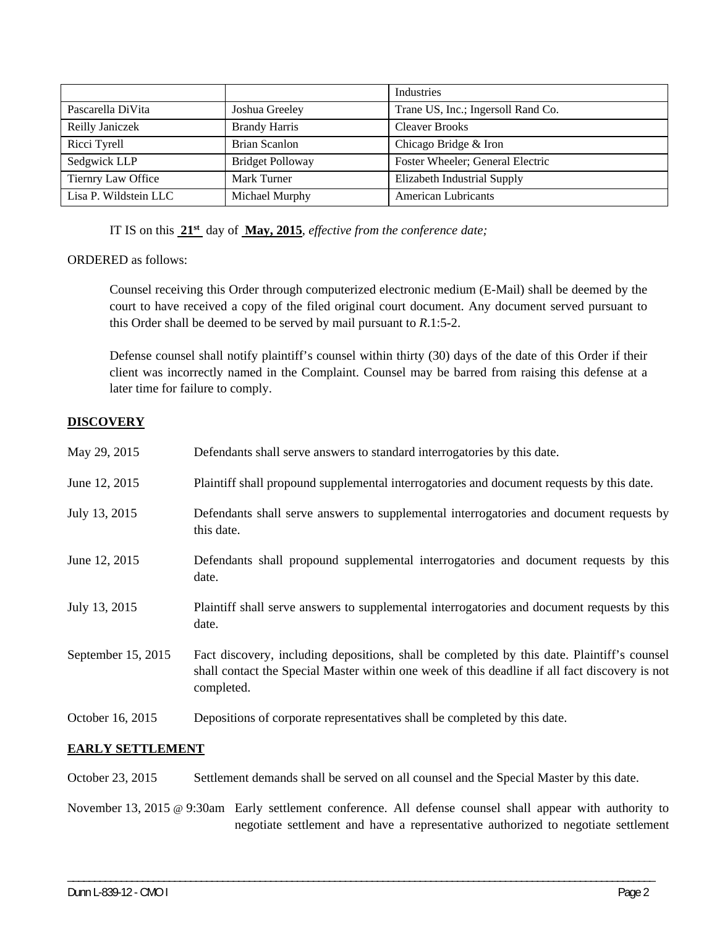|                       |                         | Industries                         |
|-----------------------|-------------------------|------------------------------------|
| Pascarella DiVita     | Joshua Greeley          | Trane US, Inc.; Ingersoll Rand Co. |
| Reilly Janiczek       | <b>Brandy Harris</b>    | <b>Cleaver Brooks</b>              |
| Ricci Tyrell          | Brian Scanlon           | Chicago Bridge & Iron              |
| Sedgwick LLP          | <b>Bridget Polloway</b> | Foster Wheeler; General Electric   |
| Tiernry Law Office    | Mark Turner             | Elizabeth Industrial Supply        |
| Lisa P. Wildstein LLC | Michael Murphy          | <b>American Lubricants</b>         |

IT IS on this **21st** day of **May, 2015**, *effective from the conference date;*

ORDERED as follows:

Counsel receiving this Order through computerized electronic medium (E-Mail) shall be deemed by the court to have received a copy of the filed original court document. Any document served pursuant to this Order shall be deemed to be served by mail pursuant to *R*.1:5-2.

Defense counsel shall notify plaintiff's counsel within thirty (30) days of the date of this Order if their client was incorrectly named in the Complaint. Counsel may be barred from raising this defense at a later time for failure to comply.

## **DISCOVERY**

| May 29, 2015       | Defendants shall serve answers to standard interrogatories by this date.                                                                                                                                    |
|--------------------|-------------------------------------------------------------------------------------------------------------------------------------------------------------------------------------------------------------|
| June 12, 2015      | Plaintiff shall propound supplemental interrogatories and document requests by this date.                                                                                                                   |
| July 13, 2015      | Defendants shall serve answers to supplemental interrogatories and document requests by<br>this date.                                                                                                       |
| June 12, 2015      | Defendants shall propound supplemental interrogatories and document requests by this<br>date.                                                                                                               |
| July 13, 2015      | Plaintiff shall serve answers to supplemental interrogatories and document requests by this<br>date.                                                                                                        |
| September 15, 2015 | Fact discovery, including depositions, shall be completed by this date. Plaintiff's counsel<br>shall contact the Special Master within one week of this deadline if all fact discovery is not<br>completed. |
| October 16, 2015   | Depositions of corporate representatives shall be completed by this date.                                                                                                                                   |

## **EARLY SETTLEMENT**

October 23, 2015 Settlement demands shall be served on all counsel and the Special Master by this date.

November 13, 2015 @ 9:30am Early settlement conference. All defense counsel shall appear with authority to negotiate settlement and have a representative authorized to negotiate settlement

\_\_\_\_\_\_\_\_\_\_\_\_\_\_\_\_\_\_\_\_\_\_\_\_\_\_\_\_\_\_\_\_\_\_\_\_\_\_\_\_\_\_\_\_\_\_\_\_\_\_\_\_\_\_\_\_\_\_\_\_\_\_\_\_\_\_\_\_\_\_\_\_\_\_\_\_\_\_\_\_\_\_\_\_\_\_\_\_\_\_\_\_\_\_\_\_\_\_\_\_\_\_\_\_\_\_\_\_\_\_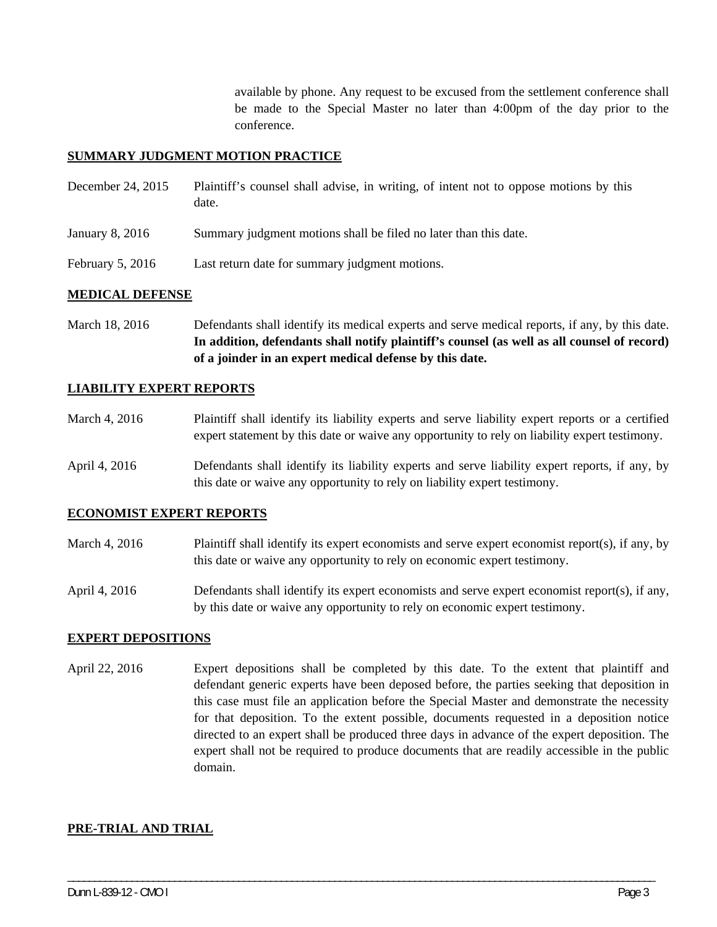available by phone. Any request to be excused from the settlement conference shall be made to the Special Master no later than 4:00pm of the day prior to the conference.

### **SUMMARY JUDGMENT MOTION PRACTICE**

| December 24, 2015  | Plaintiff's counsel shall advise, in writing, of intent not to oppose motions by this<br>date. |
|--------------------|------------------------------------------------------------------------------------------------|
| January 8, 2016    | Summary judgment motions shall be filed no later than this date.                               |
| February 5, $2016$ | Last return date for summary judgment motions.                                                 |

#### **MEDICAL DEFENSE**

March 18, 2016 Defendants shall identify its medical experts and serve medical reports, if any, by this date. **In addition, defendants shall notify plaintiff's counsel (as well as all counsel of record) of a joinder in an expert medical defense by this date.** 

#### **LIABILITY EXPERT REPORTS**

- March 4, 2016 Plaintiff shall identify its liability experts and serve liability expert reports or a certified expert statement by this date or waive any opportunity to rely on liability expert testimony.
- April 4, 2016 Defendants shall identify its liability experts and serve liability expert reports, if any, by this date or waive any opportunity to rely on liability expert testimony.

#### **ECONOMIST EXPERT REPORTS**

- March 4, 2016 Plaintiff shall identify its expert economists and serve expert economist report(s), if any, by this date or waive any opportunity to rely on economic expert testimony.
- April 4, 2016 Defendants shall identify its expert economists and serve expert economist report(s), if any, by this date or waive any opportunity to rely on economic expert testimony.

#### **EXPERT DEPOSITIONS**

April 22, 2016 Expert depositions shall be completed by this date. To the extent that plaintiff and defendant generic experts have been deposed before, the parties seeking that deposition in this case must file an application before the Special Master and demonstrate the necessity for that deposition. To the extent possible, documents requested in a deposition notice directed to an expert shall be produced three days in advance of the expert deposition. The expert shall not be required to produce documents that are readily accessible in the public domain.

\_\_\_\_\_\_\_\_\_\_\_\_\_\_\_\_\_\_\_\_\_\_\_\_\_\_\_\_\_\_\_\_\_\_\_\_\_\_\_\_\_\_\_\_\_\_\_\_\_\_\_\_\_\_\_\_\_\_\_\_\_\_\_\_\_\_\_\_\_\_\_\_\_\_\_\_\_\_\_\_\_\_\_\_\_\_\_\_\_\_\_\_\_\_\_\_\_\_\_\_\_\_\_\_\_\_\_\_\_\_

#### **PRE-TRIAL AND TRIAL**